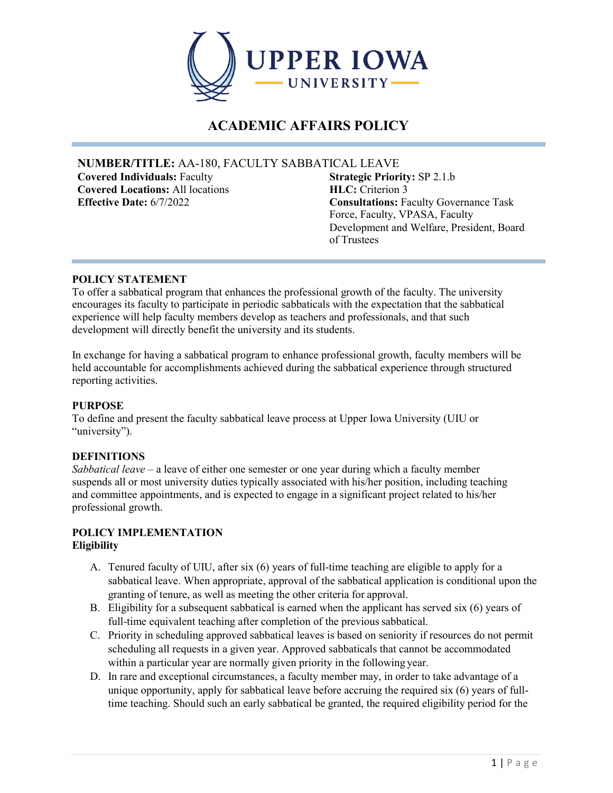

# **ACADEMIC AFFAIRS POLICY**

# **NUMBER/TITLE:** AA-180, FACULTY SABBATICAL LEAVE

**Covered Individuals: Faculty Covered Locations:** All locations **HLC:** Criterion 3

**Effective Date:** 6/7/2022 **Consultations:** Faculty Governance Task Force, Faculty, VPASA, Faculty Development and Welfare, President, Board of Trustees

# **POLICY STATEMENT**

To offer a sabbatical program that enhances the professional growth of the faculty. The university encourages its faculty to participate in periodic sabbaticals with the expectation that the sabbatical experience will help faculty members develop as teachers and professionals, and that such development will directly benefit the university and its students.

In exchange for having a sabbatical program to enhance professional growth, faculty members will be held accountable for accomplishments achieved during the sabbatical experience through structured reporting activities.

#### **PURPOSE**

To define and present the faculty sabbatical leave process at Upper Iowa University (UIU or "university").

# **DEFINITIONS**

*Sabbatical leave –* a leave of either one semester or one year during which a faculty member suspends all or most university duties typically associated with his/her position, including teaching and committee appointments, and is expected to engage in a significant project related to his/her professional growth.

#### **POLICY IMPLEMENTATION Eligibility**

- A. Tenured faculty of UIU, after six (6) years of full-time teaching are eligible to apply for a sabbatical leave. When appropriate, approval of the sabbatical application is conditional upon the granting of tenure, as well as meeting the other criteria for approval.
- B. Eligibility for a subsequent sabbatical is earned when the applicant has served six (6) years of full-time equivalent teaching after completion of the previous sabbatical.
- C. Priority in scheduling approved sabbatical leaves is based on seniority if resources do not permit scheduling all requests in a given year. Approved sabbaticals that cannot be accommodated within a particular year are normally given priority in the following year.
- D. In rare and exceptional circumstances, a faculty member may, in order to take advantage of a unique opportunity, apply for sabbatical leave before accruing the required six (6) years of fulltime teaching. Should such an early sabbatical be granted, the required eligibility period for the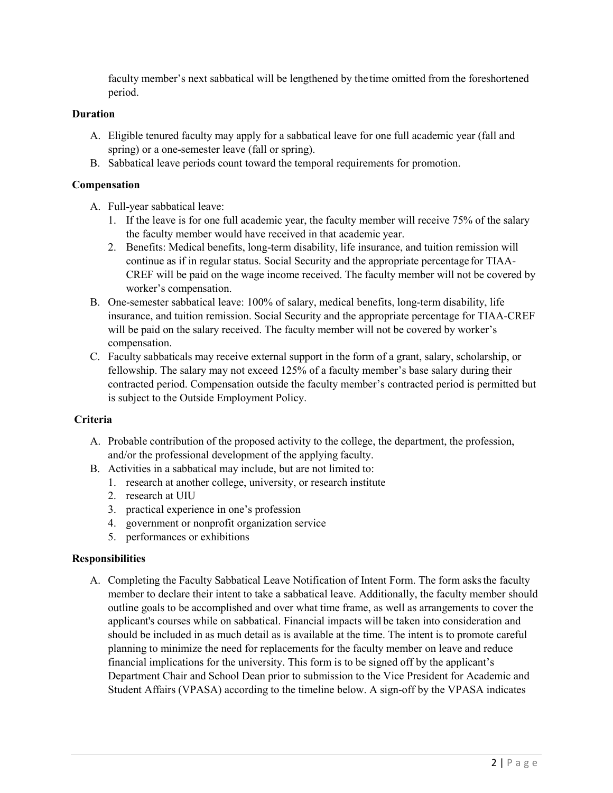faculty member's next sabbatical will be lengthened by the time omitted from the foreshortened period.

#### **Duration**

- A. Eligible tenured faculty may apply for a sabbatical leave for one full academic year (fall and spring) or a one-semester leave (fall or spring).
- B. Sabbatical leave periods count toward the temporal requirements for promotion.

#### **Compensation**

- A. Full-year sabbatical leave:
	- 1. If the leave is for one full academic year, the faculty member will receive 75% of the salary the faculty member would have received in that academic year.
	- 2. Benefits: Medical benefits, long-term disability, life insurance, and tuition remission will continue as if in regular status. Social Security and the appropriate percentage for TIAA-CREF will be paid on the wage income received. The faculty member will not be covered by worker's compensation.
- B. One-semester sabbatical leave: 100% of salary, medical benefits, long-term disability, life insurance, and tuition remission. Social Security and the appropriate percentage for TIAA-CREF will be paid on the salary received. The faculty member will not be covered by worker's compensation.
- C. Faculty sabbaticals may receive external support in the form of a grant, salary, scholarship, or fellowship. The salary may not exceed 125% of a faculty member's base salary during their contracted period. Compensation outside the faculty member's contracted period is permitted but is subject to the Outside Employment Policy.

#### **Criteria**

- A. Probable contribution of the proposed activity to the college, the department, the profession, and/or the professional development of the applying faculty.
- B. Activities in a sabbatical may include, but are not limited to:
	- 1. research at another college, university, or research institute
	- 2. research at UIU
	- 3. practical experience in one's profession
	- 4. government or nonprofit organization service
	- 5. performances or exhibitions

#### **Responsibilities**

A. Completing the Faculty Sabbatical Leave Notification of Intent Form. The form asksthe faculty member to declare their intent to take a sabbatical leave. Additionally, the faculty member should outline goals to be accomplished and over what time frame, as well as arrangements to cover the applicant's courses while on sabbatical. Financial impacts will be taken into consideration and should be included in as much detail as is available at the time. The intent is to promote careful planning to minimize the need for replacements for the faculty member on leave and reduce financial implications for the university. This form is to be signed off by the applicant's Department Chair and School Dean prior to submission to the Vice President for Academic and Student Affairs (VPASA) according to the timeline below. A sign-off by the VPASA indicates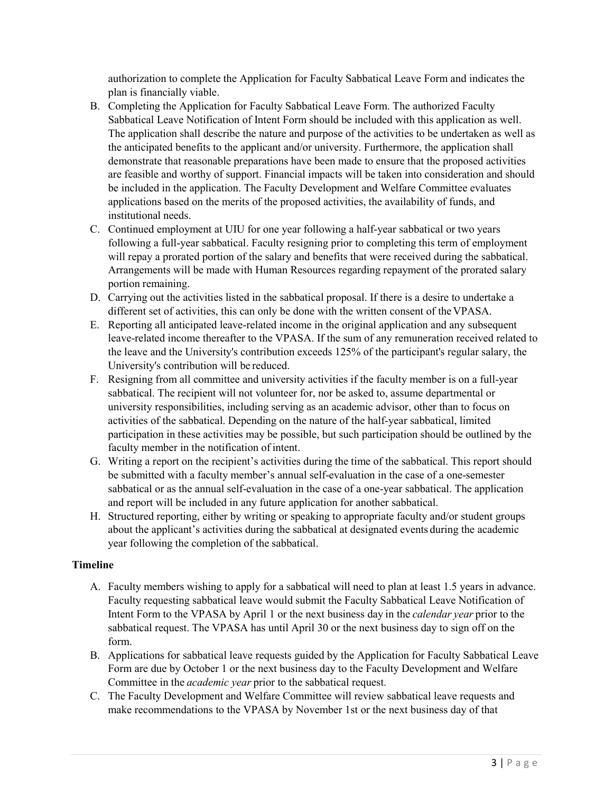authorization to complete the Application for Faculty Sabbatical Leave Form and indicates the plan is financially viable.

- B. Completing the Application for Faculty Sabbatical Leave Form. The authorized Faculty Sabbatical Leave Notification of Intent Form should be included with this application as well. The application shall describe the nature and purpose of the activities to be undertaken as well as the anticipated benefits to the applicant and/or university. Furthermore, the application shall demonstrate that reasonable preparations have been made to ensure that the proposed activities are feasible and worthy of support. Financial impacts will be taken into consideration and should be included in the application. The Faculty Development and Welfare Committee evaluates applications based on the merits of the proposed activities, the availability of funds, and institutional needs.
- C. Continued employment at UIU for one year following a half-year sabbatical or two years following a full-year sabbatical. Faculty resigning prior to completing this term of employment will repay a prorated portion of the salary and benefits that were received during the sabbatical. Arrangements will be made with Human Resources regarding repayment of the prorated salary portion remaining.
- D. Carrying out the activities listed in the sabbatical proposal. If there is a desire to undertake a different set of activities, this can only be done with the written consent of theVPASA.
- E. Reporting all anticipated leave-related income in the original application and any subsequent leave-related income thereafter to the VPASA. If the sum of any remuneration received related to the leave and the University's contribution exceeds 125% of the participant's regular salary, the University's contribution will be reduced.
- F. Resigning from all committee and university activities if the faculty member is on a full-year sabbatical. The recipient will not volunteer for, nor be asked to, assume departmental or university responsibilities, including serving as an academic advisor, other than to focus on activities of the sabbatical. Depending on the nature of the half-year sabbatical, limited participation in these activities may be possible, but such participation should be outlined by the faculty member in the notification of intent.
- G. Writing a report on the recipient's activities during the time of the sabbatical. This report should be submitted with a faculty member's annual self-evaluation in the case of a one-semester sabbatical or as the annual self-evaluation in the case of a one-year sabbatical. The application and report will be included in any future application for another sabbatical.
- H. Structured reporting, either by writing or speaking to appropriate faculty and/or student groups about the applicant's activities during the sabbatical at designated events during the academic year following the completion of the sabbatical.

# **Timeline**

- A. Faculty members wishing to apply for a sabbatical will need to plan at least 1.5 years in advance. Faculty requesting sabbatical leave would submit the Faculty Sabbatical Leave Notification of Intent Form to the VPASA by April 1 or the next business day in the *calendar year* prior to the sabbatical request. The VPASA has until April 30 or the next business day to sign off on the form.
- B. Applications for sabbatical leave requests guided by the Application for Faculty Sabbatical Leave Form are due by October 1 or the next business day to the Faculty Development and Welfare Committee in the *academic year* prior to the sabbatical request.
- C. The Faculty Development and Welfare Committee will review sabbatical leave requests and make recommendations to the VPASA by November 1st or the next business day of that